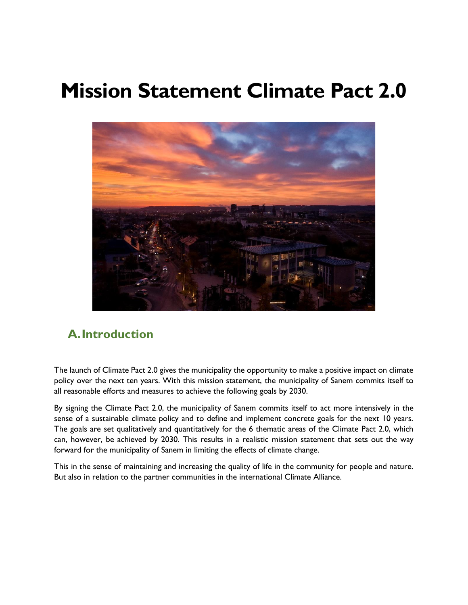# **Mission Statement Climate Pact 2.0**



# **A.Introduction**

The launch of Climate Pact 2.0 gives the municipality the opportunity to make a positive impact on climate policy over the next ten years. With this mission statement, the municipality of Sanem commits itself to all reasonable efforts and measures to achieve the following goals by 2030.

By signing the Climate Pact 2.0, the municipality of Sanem commits itself to act more intensively in the sense of a sustainable climate policy and to define and implement concrete goals for the next 10 years. The goals are set qualitatively and quantitatively for the 6 thematic areas of the Climate Pact 2.0, which can, however, be achieved by 2030. This results in a realistic mission statement that sets out the way forward for the municipality of Sanem in limiting the effects of climate change.

This in the sense of maintaining and increasing the quality of life in the community for people and nature. But also in relation to the partner communities in the international Climate Alliance.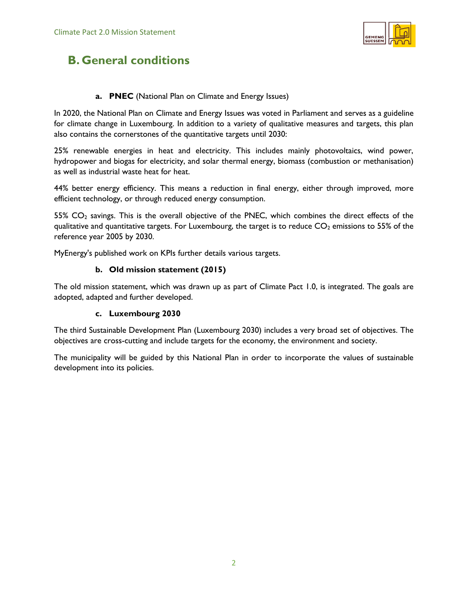

# **B. General conditions**

#### **a. PNEC** (National Plan on Climate and Energy Issues)

In 2020, the National Plan on Climate and Energy Issues was voted in Parliament and serves as a guideline for climate change in Luxembourg. In addition to a variety of qualitative measures and targets, this plan also contains the cornerstones of the quantitative targets until 2030:

25% renewable energies in heat and electricity. This includes mainly photovoltaics, wind power, hydropower and biogas for electricity, and solar thermal energy, biomass (combustion or methanisation) as well as industrial waste heat for heat.

44% better energy efficiency. This means a reduction in final energy, either through improved, more efficient technology, or through reduced energy consumption.

55% CO<sub>2</sub> savings. This is the overall objective of the PNEC, which combines the direct effects of the qualitative and quantitative targets. For Luxembourg, the target is to reduce  $CO<sub>2</sub>$  emissions to 55% of the reference year 2005 by 2030.

MyEnergy's published work on KPIs further details various targets.

#### **b. Old mission statement (2015)**

The old mission statement, which was drawn up as part of Climate Pact 1.0, is integrated. The goals are adopted, adapted and further developed.

#### **c. Luxembourg 2030**

The third Sustainable Development Plan (Luxembourg 2030) includes a very broad set of objectives. The objectives are cross-cutting and include targets for the economy, the environment and society.

The municipality will be guided by this National Plan in order to incorporate the values of sustainable development into its policies.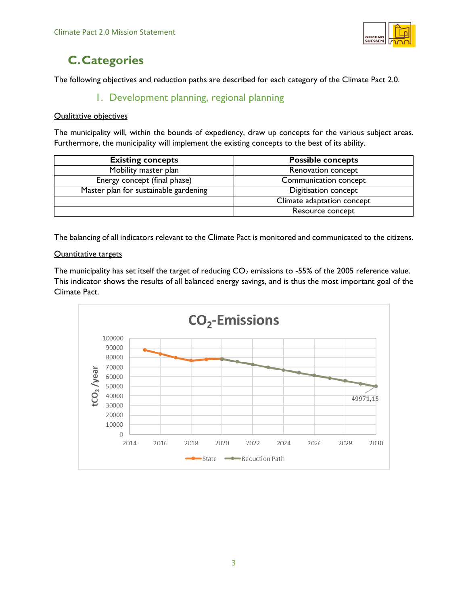

# **C.Categories**

The following objectives and reduction paths are described for each category of the Climate Pact 2.0.

# 1. Development planning, regional planning

#### Qualitative objectives

The municipality will, within the bounds of expediency, draw up concepts for the various subject areas. Furthermore, the municipality will implement the existing concepts to the best of its ability.

| <b>Existing concepts</b>              | <b>Possible concepts</b>   |
|---------------------------------------|----------------------------|
| Mobility master plan                  | Renovation concept         |
| Energy concept (final phase)          | Communication concept      |
| Master plan for sustainable gardening | Digitisation concept       |
|                                       | Climate adaptation concept |
|                                       | Resource concept           |

The balancing of all indicators relevant to the Climate Pact is monitored and communicated to the citizens.

#### Quantitative targets

The municipality has set itself the target of reducing  $CO<sub>2</sub>$  emissions to -55% of the 2005 reference value. This indicator shows the results of all balanced energy savings, and is thus the most important goal of the Climate Pact.

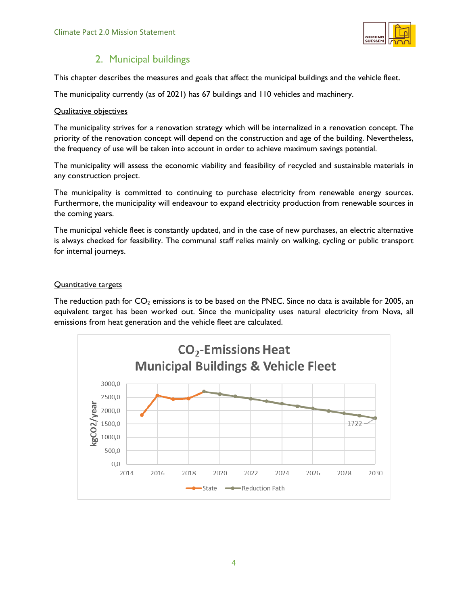

## 2. Municipal buildings

This chapter describes the measures and goals that affect the municipal buildings and the vehicle fleet.

The municipality currently (as of 2021) has 67 buildings and 110 vehicles and machinery.

#### Qualitative objectives

The municipality strives for a renovation strategy which will be internalized in a renovation concept. The priority of the renovation concept will depend on the construction and age of the building. Nevertheless, the frequency of use will be taken into account in order to achieve maximum savings potential.

The municipality will assess the economic viability and feasibility of recycled and sustainable materials in any construction project.

The municipality is committed to continuing to purchase electricity from renewable energy sources. Furthermore, the municipality will endeavour to expand electricity production from renewable sources in the coming years.

The municipal vehicle fleet is constantly updated, and in the case of new purchases, an electric alternative is always checked for feasibility. The communal staff relies mainly on walking, cycling or public transport for internal journeys.

#### Quantitative targets

The reduction path for  $CO<sub>2</sub>$  emissions is to be based on the PNEC. Since no data is available for 2005, an equivalent target has been worked out. Since the municipality uses natural electricity from Nova, all emissions from heat generation and the vehicle fleet are calculated.

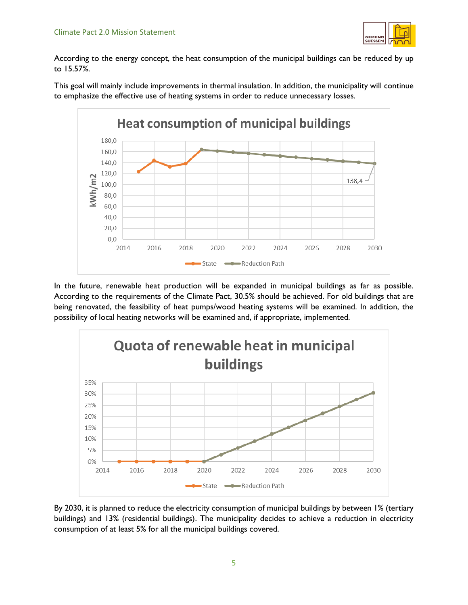

According to the energy concept, the heat consumption of the municipal buildings can be reduced by up to 15.57%.

This goal will mainly include improvements in thermal insulation. In addition, the municipality will continue to emphasize the effective use of heating systems in order to reduce unnecessary losses.



In the future, renewable heat production will be expanded in municipal buildings as far as possible. According to the requirements of the Climate Pact, 30.5% should be achieved. For old buildings that are being renovated, the feasibility of heat pumps/wood heating systems will be examined. In addition, the possibility of local heating networks will be examined and, if appropriate, implemented.



By 2030, it is planned to reduce the electricity consumption of municipal buildings by between 1% (tertiary buildings) and 13% (residential buildings). The municipality decides to achieve a reduction in electricity consumption of at least 5% for all the municipal buildings covered.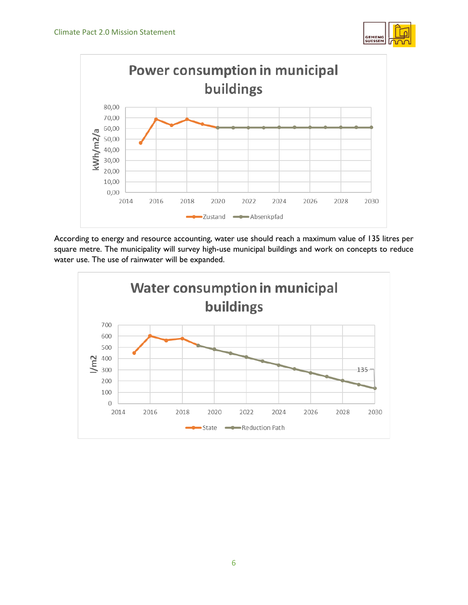



According to energy and resource accounting, water use should reach a maximum value of 135 litres per square metre. The municipality will survey high-use municipal buildings and work on concepts to reduce water use. The use of rainwater will be expanded.

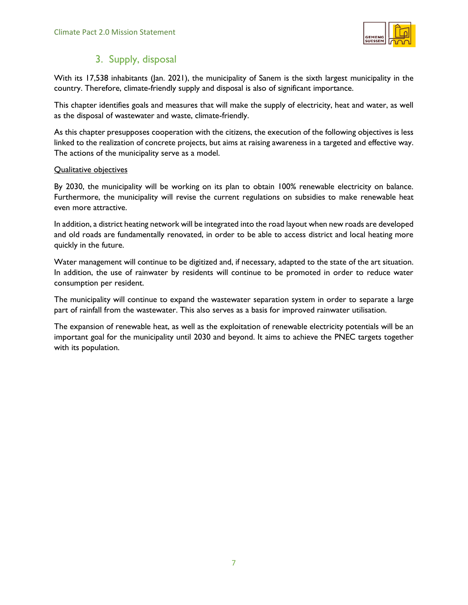

# 3. Supply, disposal

With its 17,538 inhabitants (Jan. 2021), the municipality of Sanem is the sixth largest municipality in the country. Therefore, climate-friendly supply and disposal is also of significant importance.

This chapter identifies goals and measures that will make the supply of electricity, heat and water, as well as the disposal of wastewater and waste, climate-friendly.

As this chapter presupposes cooperation with the citizens, the execution of the following objectives is less linked to the realization of concrete projects, but aims at raising awareness in a targeted and effective way. The actions of the municipality serve as a model.

#### Qualitative objectives

By 2030, the municipality will be working on its plan to obtain 100% renewable electricity on balance. Furthermore, the municipality will revise the current regulations on subsidies to make renewable heat even more attractive.

In addition, a district heating network will be integrated into the road layout when new roads are developed and old roads are fundamentally renovated, in order to be able to access district and local heating more quickly in the future.

Water management will continue to be digitized and, if necessary, adapted to the state of the art situation. In addition, the use of rainwater by residents will continue to be promoted in order to reduce water consumption per resident.

The municipality will continue to expand the wastewater separation system in order to separate a large part of rainfall from the wastewater. This also serves as a basis for improved rainwater utilisation.

The expansion of renewable heat, as well as the exploitation of renewable electricity potentials will be an important goal for the municipality until 2030 and beyond. It aims to achieve the PNEC targets together with its population.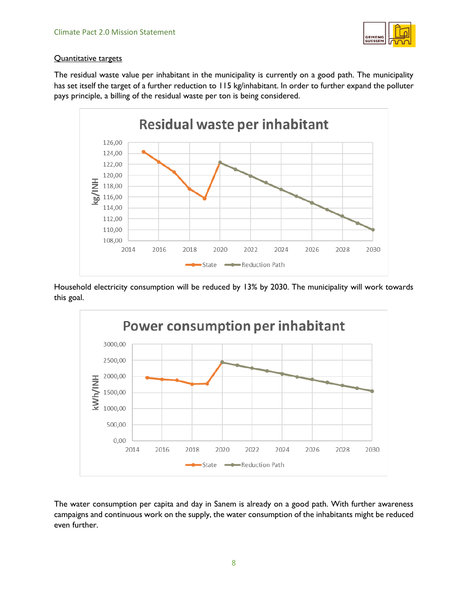

#### Quantitative targets

The residual waste value per inhabitant in the municipality is currently on a good path. The municipality has set itself the target of a further reduction to 115 kg/inhabitant. In order to further expand the [polluter](https://www.linguee.com/english-french/translation/polluter+pays+principle.html)  [pays principle,](https://www.linguee.com/english-french/translation/polluter+pays+principle.html) a billing of the residual waste per ton is being considered.



Household electricity consumption will be reduced by 13% by 2030. The municipality will work towards this goal.



The water consumption per capita and day in Sanem is already on a good path. With further awareness campaigns and continuous work on the supply, the water consumption of the inhabitants might be reduced even further.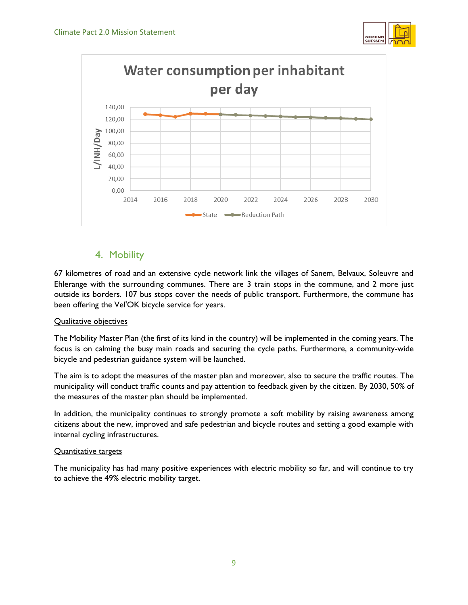



### 4. Mobility

67 kilometres of road and an extensive cycle network link the villages of Sanem, Belvaux, Soleuvre and Ehlerange with the surrounding communes. There are 3 train stops in the commune, and 2 more just outside its borders. 107 bus stops cover the needs of public transport. Furthermore, the commune has been offering the Vel'OK bicycle service for years.

#### Qualitative objectives

The Mobility Master Plan (the first of its kind in the country) will be implemented in the coming years. The focus is on calming the busy main roads and securing the cycle paths. Furthermore, a community-wide bicycle and pedestrian guidance system will be launched.

The aim is to adopt the measures of the master plan and moreover, also to secure the traffic routes. The municipality will conduct traffic counts and pay attention to feedback given by the citizen. By 2030, 50% of the measures of the master plan should be implemented.

In addition, the municipality continues to strongly promote a soft mobility by raising awareness among citizens about the new, improved and safe pedestrian and bicycle routes and setting a good example with internal cycling infrastructures.

#### Quantitative targets

The municipality has had many positive experiences with electric mobility so far, and will continue to try to achieve the 49% electric mobility target.